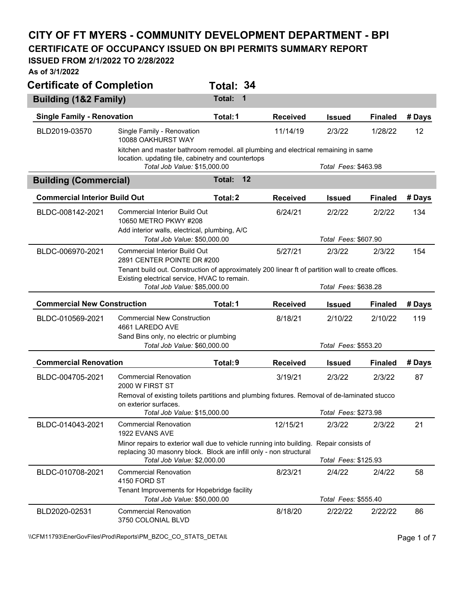## **CITY OF FT MYERS - COMMUNITY DEVELOPMENT DEPARTMENT - BPI CERTIFICATE OF OCCUPANCY ISSUED ON BPI PERMITS SUMMARY REPORT**

## **ISSUED FROM 2/1/2022 TO 2/28/2022**

**As of 3/1/2022** 

| <b>Certificate of Completion</b>     |                                                                                                                                                    | Total: 34          |                 |                      |                |        |
|--------------------------------------|----------------------------------------------------------------------------------------------------------------------------------------------------|--------------------|-----------------|----------------------|----------------|--------|
| <b>Building (1&amp;2 Family)</b>     |                                                                                                                                                    | <b>Total:</b><br>1 |                 |                      |                |        |
| <b>Single Family - Renovation</b>    |                                                                                                                                                    | Total: 1           | <b>Received</b> | <b>Issued</b>        | <b>Finaled</b> | # Days |
| BLD2019-03570                        | Single Family - Renovation<br>10088 OAKHURST WAY                                                                                                   |                    | 11/14/19        | 2/3/22               | 1/28/22        | 12     |
|                                      | kitchen and master bathroom remodel. all plumbing and electrical remaining in same                                                                 |                    |                 |                      |                |        |
|                                      | location. updating tile, cabinetry and countertops<br>Total Job Value: \$15,000.00                                                                 |                    |                 | Total Fees: \$463.98 |                |        |
| <b>Building (Commercial)</b>         |                                                                                                                                                    | 12<br>Total:       |                 |                      |                |        |
| <b>Commercial Interior Build Out</b> |                                                                                                                                                    | Total: 2           | <b>Received</b> | <b>Issued</b>        | <b>Finaled</b> | # Days |
| BLDC-008142-2021                     | Commercial Interior Build Out<br>10650 METRO PKWY #208<br>Add interior walls, electrical, plumbing, A/C                                            |                    | 6/24/21         | 2/2/22               | 2/2/22         | 134    |
|                                      | Total Job Value: \$50,000.00                                                                                                                       |                    |                 | Total Fees: \$607.90 |                |        |
| BLDC-006970-2021                     | <b>Commercial Interior Build Out</b><br>2891 CENTER POINTE DR #200                                                                                 |                    | 5/27/21         | 2/3/22               | 2/3/22         | 154    |
|                                      | Tenant build out. Construction of approximately 200 linear ft of partition wall to create offices.<br>Existing electrical service, HVAC to remain. |                    |                 |                      |                |        |
|                                      | Total Job Value: \$85,000.00                                                                                                                       |                    |                 | Total Fees: \$638.28 |                |        |
| <b>Commercial New Construction</b>   |                                                                                                                                                    | Total: 1           | <b>Received</b> | <b>Issued</b>        | <b>Finaled</b> | # Days |
| BLDC-010569-2021                     | <b>Commercial New Construction</b><br>4661 LAREDO AVE<br>Sand Bins only, no electric or plumbing                                                   |                    | 8/18/21         | 2/10/22              | 2/10/22        | 119    |
|                                      | Total Job Value: \$60,000.00                                                                                                                       |                    |                 | Total Fees: \$553.20 |                |        |
| <b>Commercial Renovation</b>         |                                                                                                                                                    | Total: 9           | <b>Received</b> | <b>Issued</b>        | <b>Finaled</b> | # Days |
| BLDC-004705-2021                     | <b>Commercial Renovation</b><br>2000 W FIRST ST                                                                                                    |                    | 3/19/21         | 2/3/22               | 2/3/22         | 87     |
|                                      | Removal of existing toilets partitions and plumbing fixtures. Removal of de-laminated stucco                                                       |                    |                 |                      |                |        |
|                                      | on exterior surfaces.<br>Total Job Value: \$15,000.00                                                                                              |                    |                 | Total Fees: \$273.98 |                |        |
| BLDC-014043-2021                     | <b>Commercial Renovation</b><br>1922 EVANS AVE                                                                                                     |                    | 12/15/21        | 2/3/22               | 2/3/22         | 21     |
|                                      | Minor repairs to exterior wall due to vehicle running into building.<br>replacing 30 masonry block. Block are infill only - non structural         |                    |                 | Repair consists of   |                |        |
|                                      | Total Job Value: \$2,000.00                                                                                                                        |                    |                 | Total Fees: \$125.93 |                |        |
| BLDC-010708-2021                     | <b>Commercial Renovation</b><br>4150 FORD ST                                                                                                       |                    | 8/23/21         | 2/4/22               | 2/4/22         | 58     |
|                                      | Tenant Improvements for Hopebridge facility<br>Total Job Value: \$50,000.00                                                                        |                    |                 | Total Fees: \$555.40 |                |        |
| BLD2020-02531                        | <b>Commercial Renovation</b><br>3750 COLONIAL BLVD                                                                                                 |                    | 8/18/20         | 2/22/22              | 2/22/22        | 86     |

\\CFM11793\EnerGovFiles\Prod\Reports\PM\_BZOC\_CO\_STATS\_DETAIL\PhysicalCritics\PM\_BZOC\_CO\_STATS\_DETAIL\PhysicalCritics\PM\_BZOC\_CO\_STATS\_DETAIL\PhysicalCritics\PM\_BZOC\_CO\_STATS\_DETAIL\PhysicalCritics\PM\_BZOC\_CO\_STATS\_DETAIL\P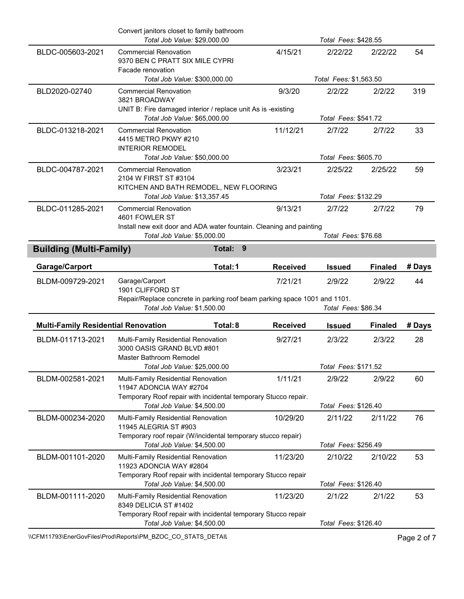|                                            | Convert janitors closet to family bathroom<br>Total Job Value: \$29,000.00                               |                 | Total Fees: \$428.55   |                |        |
|--------------------------------------------|----------------------------------------------------------------------------------------------------------|-----------------|------------------------|----------------|--------|
| BLDC-005603-2021                           | <b>Commercial Renovation</b><br>9370 BEN C PRATT SIX MILE CYPRI<br>Facade renovation                     | 4/15/21         | 2/22/22                | 2/22/22        | 54     |
|                                            | Total Job Value: \$300,000.00                                                                            |                 | Total Fees: \$1,563.50 |                |        |
| BLD2020-02740                              | <b>Commercial Renovation</b><br>3821 BROADWAY                                                            | 9/3/20          | 2/2/22                 | 2/2/22         | 319    |
|                                            | UNIT B: Fire damaged interior / replace unit As is -existing                                             |                 | Total Fees: \$541.72   |                |        |
|                                            | Total Job Value: \$65,000.00                                                                             |                 |                        |                |        |
| BLDC-013218-2021                           | <b>Commercial Renovation</b><br>4415 METRO PKWY #210<br><b>INTERIOR REMODEL</b>                          | 11/12/21        | 2/7/22                 | 2/7/22         | 33     |
|                                            | Total Job Value: \$50,000.00                                                                             |                 | Total Fees: \$605.70   |                |        |
| BLDC-004787-2021                           | <b>Commercial Renovation</b><br>2104 W FIRST ST #3104                                                    | 3/23/21         | 2/25/22                | 2/25/22        | 59     |
|                                            | KITCHEN AND BATH REMODEL, NEW FLOORING<br>Total Job Value: \$13,357.45                                   |                 | Total Fees: \$132.29   |                |        |
| BLDC-011285-2021                           | <b>Commercial Renovation</b>                                                                             | 9/13/21         | 2/7/22                 | 2/7/22         | 79     |
|                                            | 4601 FOWLER ST<br>Install new exit door and ADA water fountain. Cleaning and painting                    |                 |                        |                |        |
|                                            | Total Job Value: \$5,000.00                                                                              |                 | Total Fees: \$76.68    |                |        |
| <b>Building (Multi-Family)</b>             | Total: 9                                                                                                 |                 |                        |                |        |
| Garage/Carport                             | Total: 1                                                                                                 | <b>Received</b> | <b>Issued</b>          | <b>Finaled</b> | # Days |
| BLDM-009729-2021                           | Garage/Carport                                                                                           | 7/21/21         | 2/9/22                 | 2/9/22         | 44     |
|                                            | 1901 CLIFFORD ST                                                                                         |                 |                        |                |        |
|                                            | Repair/Replace concrete in parking roof beam parking space 1001 and 1101.<br>Total Job Value: \$1,500.00 |                 | Total Fees: \$86.34    |                |        |
| <b>Multi-Family Residential Renovation</b> | Total: 8                                                                                                 | <b>Received</b> | <b>Issued</b>          | <b>Finaled</b> | # Days |
| BLDM-011713-2021                           | Multi-Family Residential Renovation<br>3000 OASIS GRAND BLVD #801                                        | 9/27/21         | 2/3/22                 | 2/3/22         | 28     |
|                                            | Master Bathroom Remodel<br>Total Job Value: \$25,000.00                                                  |                 | Total Fees: \$171.52   |                |        |
| BLDM-002581-2021                           | Multi-Family Residential Renovation                                                                      | 1/11/21         | 2/9/22                 | 2/9/22         | 60     |
|                                            | 11947 ADONCIA WAY #2704<br>Temporary Roof repair with incidental temporary Stucco repair.                |                 |                        |                |        |
|                                            | Total Job Value: \$4,500.00                                                                              |                 | Total Fees: \$126.40   |                |        |
| BLDM-000234-2020                           | Multi-Family Residential Renovation<br>11945 ALEGRIA ST #903                                             | 10/29/20        | 2/11/22                | 2/11/22        | 76     |
|                                            | Temporary roof repair (W/incidental temporary stucco repair)                                             |                 |                        |                |        |
|                                            | Total Job Value: \$4,500.00                                                                              |                 | Total Fees: \$256.49   |                |        |
| BLDM-001101-2020                           | Multi-Family Residential Renovation<br>11923 ADONCIA WAY #2804                                           | 11/23/20        | 2/10/22                | 2/10/22        | 53     |
|                                            | Temporary Roof repair with incidental temporary Stucco repair<br>Total Job Value: \$4,500.00             |                 | Total Fees: \$126.40   |                |        |
| BLDM-001111-2020                           | Multi-Family Residential Renovation<br>8349 DELICIA ST #1402                                             | 11/23/20        | 2/1/22                 | 2/1/22         | 53     |
|                                            | Temporary Roof repair with incidental temporary Stucco repair<br>Total Job Value: \$4,500.00             |                 | Total Fees: \$126.40   |                |        |

\\CFM11793\EnerGovFiles\Prod\Reports\PM\_BZOC\_CO\_STATS\_DETAIL\PhysicalCritics\PM\_BZOC\_CO\_STATS\_DETAIL\PhysicalCritics\PM\_BZOC\_CO\_STATS\_DETAIL\PhysicalCritics\PM\_BZOC\_CO\_STATS\_DETAIL\PhysicalCritics\PM\_BZOC\_CO\_STATS\_DETAIL\P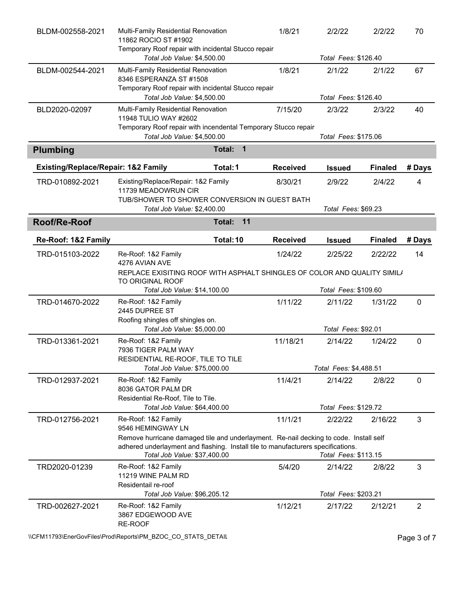| BLDM-002558-2021                               | Multi-Family Residential Renovation<br>11862 ROCIO ST #1902<br>Temporary Roof repair with incidental Stucco repair                                                                                        |                       | 1/8/21          | 2/2/22                 | 2/2/22         | 70             |
|------------------------------------------------|-----------------------------------------------------------------------------------------------------------------------------------------------------------------------------------------------------------|-----------------------|-----------------|------------------------|----------------|----------------|
|                                                | Total Job Value: \$4,500.00                                                                                                                                                                               |                       |                 | Total Fees: \$126.40   |                |                |
| BLDM-002544-2021                               | Multi-Family Residential Renovation<br>8346 ESPERANZA ST #1508                                                                                                                                            |                       | 1/8/21          | 2/1/22                 | 2/1/22         | 67             |
|                                                | Temporary Roof repair with incidental Stucco repair<br>Total Job Value: \$4,500.00                                                                                                                        |                       |                 | Total Fees: \$126.40   |                |                |
| BLD2020-02097                                  | Multi-Family Residential Renovation                                                                                                                                                                       |                       | 7/15/20         | 2/3/22                 | 2/3/22         | 40             |
|                                                | 11948 TULIO WAY #2602<br>Temporary Roof repair with incendental Temporary Stucco repair                                                                                                                   |                       |                 |                        |                |                |
|                                                | Total Job Value: \$4,500.00                                                                                                                                                                               |                       |                 | Total Fees: \$175.06   |                |                |
| <b>Plumbing</b>                                |                                                                                                                                                                                                           | Total:<br>$\mathbf 1$ |                 |                        |                |                |
| <b>Existing/Replace/Repair: 1&amp;2 Family</b> |                                                                                                                                                                                                           | Total: 1              | <b>Received</b> | <b>Issued</b>          | <b>Finaled</b> | # Days         |
| TRD-010892-2021                                | Existing/Replace/Repair: 1&2 Family<br>11739 MEADOWRUN CIR                                                                                                                                                |                       | 8/30/21         | 2/9/22                 | 2/4/22         | 4              |
|                                                | TUB/SHOWER TO SHOWER CONVERSION IN GUEST BATH<br>Total Job Value: \$2,400.00                                                                                                                              |                       |                 | Total Fees: \$69.23    |                |                |
| Roof/Re-Roof                                   |                                                                                                                                                                                                           | 11<br>Total:          |                 |                        |                |                |
|                                                |                                                                                                                                                                                                           |                       |                 |                        |                |                |
| Re-Roof: 1&2 Family                            |                                                                                                                                                                                                           | Total: 10             | <b>Received</b> | <b>Issued</b>          | <b>Finaled</b> | # Days         |
| TRD-015103-2022                                | Re-Roof: 1&2 Family<br>4276 AVIAN AVE<br>REPLACE EXISITING ROOF WITH ASPHALT SHINGLES OF COLOR AND QUALITY SIMILA                                                                                         |                       | 1/24/22         | 2/25/22                | 2/22/22        | 14             |
|                                                | TO ORIGINAL ROOF<br>Total Job Value: \$14,100.00                                                                                                                                                          |                       |                 | Total Fees: \$109.60   |                |                |
| TRD-014670-2022                                | Re-Roof: 1&2 Family<br>2445 DUPREE ST                                                                                                                                                                     |                       | 1/11/22         | 2/11/22                | 1/31/22        | 0              |
|                                                | Roofing shingles off shingles on.<br>Total Job Value: \$5,000.00                                                                                                                                          |                       |                 | Total Fees: \$92.01    |                |                |
| TRD-013361-2021                                | Re-Roof: 1&2 Family<br>7936 TIGER PALM WAY                                                                                                                                                                |                       | 11/18/21        | 2/14/22                | 1/24/22        | 0              |
|                                                | RESIDENTIAL RE-ROOF, TILE TO TILE<br>Total Job Value: \$75,000.00                                                                                                                                         |                       |                 | Total Fees: \$4,488.51 |                |                |
| TRD-012937-2021                                | Re-Roof: 1&2 Family<br>8036 GATOR PALM DR                                                                                                                                                                 |                       | 11/4/21         | 2/14/22                | 2/8/22         | 0              |
|                                                | Residential Re-Roof, Tile to Tile.<br>Total Job Value: \$64,400.00                                                                                                                                        |                       |                 | Total Fees: \$129.72   |                |                |
| TRD-012756-2021                                | Re-Roof: 1&2 Family<br>9546 HEMINGWAY LN                                                                                                                                                                  |                       | 11/1/21         | 2/22/22                | 2/16/22        | 3              |
|                                                | Remove hurricane damaged tile and underlayment. Re-nail decking to code. Install self<br>adhered underlayment and flashing. Install tile to manufacturers specifications.<br>Total Job Value: \$37,400.00 |                       |                 | Total Fees: \$113.15   |                |                |
| TRD2020-01239                                  | Re-Roof: 1&2 Family<br>11219 WINE PALM RD<br>Residentail re-roof                                                                                                                                          |                       | 5/4/20          | 2/14/22                | 2/8/22         | 3              |
|                                                | Total Job Value: \$96,205.12                                                                                                                                                                              |                       |                 | Total Fees: \$203.21   |                |                |
| TRD-002627-2021                                | Re-Roof: 1&2 Family<br>3867 EDGEWOOD AVE<br>RE-ROOF                                                                                                                                                       |                       | 1/12/21         | 2/17/22                | 2/12/21        | $\overline{2}$ |

\\CFM11793\EnerGovFiles\Prod\Reports\PM\_BZOC\_CO\_STATS\_DETAIL\PhysicalCefment Page 3 of 7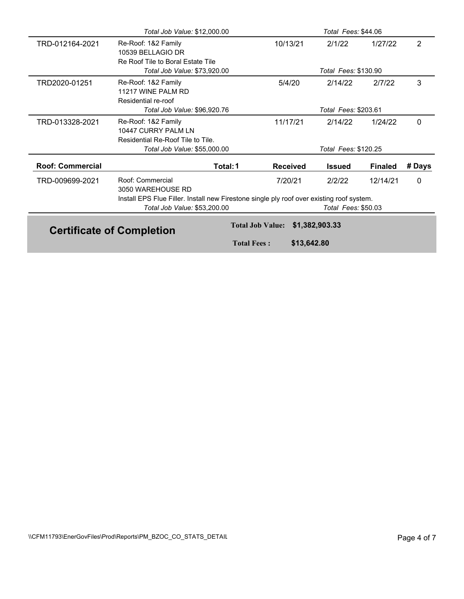|                         | Total Job Value: \$12,000.00                                                                                              |                         |                 | Total Fees: \$44.06  |                |                |
|-------------------------|---------------------------------------------------------------------------------------------------------------------------|-------------------------|-----------------|----------------------|----------------|----------------|
| TRD-012164-2021         | Re-Roof: 1&2 Family<br>10539 BELLAGIO DR<br>Re Roof Tile to Boral Estate Tile                                             |                         | 10/13/21        | 2/1/22               | 1/27/22        | $\overline{2}$ |
|                         | Total Job Value: \$73,920.00                                                                                              |                         |                 | Total Fees: \$130.90 |                |                |
| TRD2020-01251           | Re-Roof: 1&2 Family<br>11217 WINE PALM RD<br>Residential re-roof                                                          |                         | 5/4/20          | 2/14/22              | 2/7/22         | 3              |
|                         | Total Job Value: \$96,920.76                                                                                              |                         |                 | Total Fees: \$203.61 |                |                |
| TRD-013328-2021         | Re-Roof: 1&2 Family<br>10447 CURRY PALM LN<br>Residential Re-Roof Tile to Tile.                                           |                         | 11/17/21        | 2/14/22              | 1/24/22        | 0              |
|                         | Total Job Value: \$55,000.00                                                                                              |                         |                 | Total Fees: \$120.25 |                |                |
| <b>Roof: Commercial</b> | Total: 1                                                                                                                  |                         | <b>Received</b> | Issued               | <b>Finaled</b> | # Days         |
| TRD-009699-2021         | Roof: Commercial<br>3050 WAREHOUSE RD                                                                                     |                         | 7/20/21         | 2/2/22               | 12/14/21       | 0              |
|                         | Install EPS Flue Filler. Install new Firestone single ply roof over existing roof system.<br>Total Job Value: \$53,200.00 |                         |                 | Total Fees: \$50.03  |                |                |
|                         | <b>Certificate of Completion</b>                                                                                          | <b>Total Job Value:</b> |                 | \$1,382,903.33       |                |                |
|                         |                                                                                                                           | <b>Total Fees:</b>      | \$13,642.80     |                      |                |                |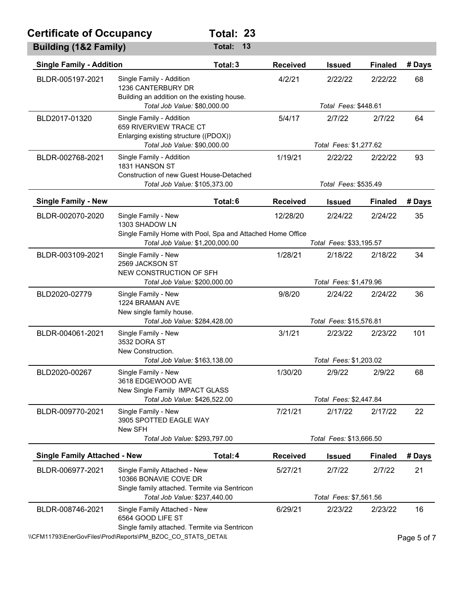| <b>Certificate of Occupancy</b>     |                                                                                                                               | Total: 23                                                                             |                 |                                  |                |        |
|-------------------------------------|-------------------------------------------------------------------------------------------------------------------------------|---------------------------------------------------------------------------------------|-----------------|----------------------------------|----------------|--------|
| Building (1&2 Family)               |                                                                                                                               | Total:<br>13                                                                          |                 |                                  |                |        |
| <b>Single Family - Addition</b>     |                                                                                                                               | Total: 3                                                                              | <b>Received</b> | <b>Issued</b>                    | <b>Finaled</b> | # Days |
| BLDR-005197-2021                    | Single Family - Addition<br>1236 CANTERBURY DR<br>Building an addition on the existing house.<br>Total Job Value: \$80,000.00 |                                                                                       | 4/2/21          | 2/22/22<br>Total Fees: \$448.61  | 2/22/22        | 68     |
|                                     |                                                                                                                               |                                                                                       |                 |                                  |                |        |
| BLD2017-01320                       | Single Family - Addition<br>659 RIVERVIEW TRACE CT<br>Enlarging existing structure ((PDOX))<br>Total Job Value: \$90,000.00   |                                                                                       | 5/4/17          | 2/7/22<br>Total Fees: \$1,277.62 | 2/7/22         | 64     |
| BLDR-002768-2021                    | Single Family - Addition<br>1831 HANSON ST<br><b>Construction of new Guest House-Detached</b>                                 |                                                                                       | 1/19/21         | 2/22/22                          | 2/22/22        | 93     |
|                                     | Total Job Value: \$105,373.00                                                                                                 |                                                                                       |                 | Total Fees: \$535.49             |                |        |
| <b>Single Family - New</b>          |                                                                                                                               | Total: 6                                                                              | <b>Received</b> | <b>Issued</b>                    | <b>Finaled</b> | # Days |
| BLDR-002070-2020                    | Single Family - New<br>1303 SHADOW LN                                                                                         |                                                                                       | 12/28/20        | 2/24/22                          | 2/24/22        | 35     |
|                                     | Total Job Value: \$1,200,000.00                                                                                               | Single Family Home with Pool, Spa and Attached Home Office<br>Total Fees: \$33,195.57 |                 |                                  |                |        |
| BLDR-003109-2021                    | Single Family - New<br>2569 JACKSON ST<br>NEW CONSTRUCTION OF SFH                                                             |                                                                                       | 1/28/21         | 2/18/22                          | 2/18/22        | 34     |
|                                     | Total Job Value: \$200,000.00                                                                                                 |                                                                                       |                 | Total Fees: \$1,479.96           |                |        |
| BLD2020-02779                       | Single Family - New<br>1224 BRAMAN AVE<br>New single family house.                                                            |                                                                                       | 9/8/20          | 2/24/22                          | 2/24/22        | 36     |
|                                     | Total Job Value: \$284,428.00                                                                                                 |                                                                                       |                 | Total Fees: \$15,576.81          |                |        |
| BLDR-004061-2021                    | Single Family - New<br>3532 DORA ST<br>New Construction.                                                                      |                                                                                       | 3/1/21          | 2/23/22                          | 2/23/22        | 101    |
|                                     | Total Job Value: \$163,138.00                                                                                                 |                                                                                       |                 | Total Fees: \$1,203.02           |                |        |
| BLD2020-00267                       | Single Family - New<br>3618 EDGEWOOD AVE<br>New Single Family IMPACT GLASS                                                    |                                                                                       | 1/30/20         | 2/9/22                           | 2/9/22         | 68     |
|                                     | Total Job Value: \$426,522.00                                                                                                 |                                                                                       |                 | Total Fees: \$2,447.84           |                |        |
| BLDR-009770-2021                    | Single Family - New<br>3905 SPOTTED EAGLE WAY<br>New SFH                                                                      |                                                                                       | 7/21/21         | 2/17/22                          | 2/17/22        | 22     |
|                                     |                                                                                                                               | Total Job Value: \$293,797.00                                                         |                 | Total Fees: \$13,666.50          |                |        |
| <b>Single Family Attached - New</b> |                                                                                                                               | Total: 4                                                                              | <b>Received</b> | <b>Issued</b>                    | <b>Finaled</b> | # Days |
| BLDR-006977-2021                    | Single Family Attached - New<br>10366 BONAVIE COVE DR<br>Single family attached. Termite via Sentricon                        |                                                                                       | 5/27/21         | 2/7/22                           | 2/7/22         | 21     |
|                                     | Total Job Value: \$237,440.00                                                                                                 |                                                                                       |                 | Total Fees: \$7,561.56           |                |        |
| BLDR-008746-2021                    | Single Family Attached - New<br>6564 GOOD LIFE ST<br>Single family attached. Termite via Sentricon                            |                                                                                       | 6/29/21         | 2/23/22                          | 2/23/22        | 16     |

\\CFM11793\EnerGovFiles\Prod\Reports\PM\_BZOC\_CO\_STATS\_DETAIL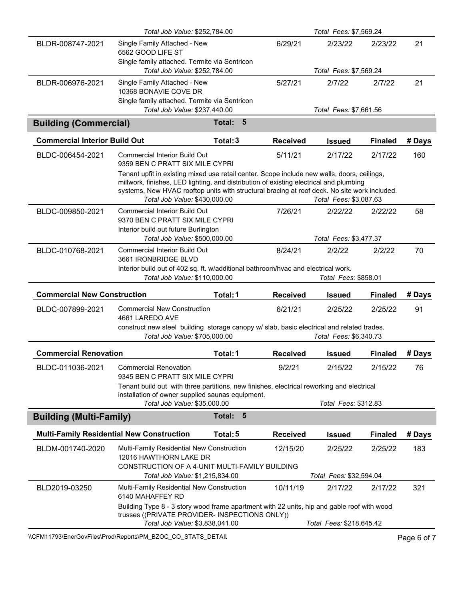|                                      | Total Job Value: \$252,784.00                                                                                                                                                                                                                                                                                          |                          |                 | Total Fees: \$7,569.24             |                |        |
|--------------------------------------|------------------------------------------------------------------------------------------------------------------------------------------------------------------------------------------------------------------------------------------------------------------------------------------------------------------------|--------------------------|-----------------|------------------------------------|----------------|--------|
| BLDR-008747-2021                     | Single Family Attached - New<br>6562 GOOD LIFE ST                                                                                                                                                                                                                                                                      |                          | 6/29/21         | 2/23/22                            | 2/23/22        | 21     |
|                                      | Single family attached. Termite via Sentricon<br>Total Job Value: \$252,784.00                                                                                                                                                                                                                                         |                          |                 | Total Fees: \$7,569.24             |                |        |
| BLDR-006976-2021                     | Single Family Attached - New<br>10368 BONAVIE COVE DR<br>Single family attached. Termite via Sentricon                                                                                                                                                                                                                 |                          | 5/27/21         | 2/7/22                             | 2/7/22         | 21     |
|                                      | Total Job Value: \$237,440.00                                                                                                                                                                                                                                                                                          |                          |                 | Total Fees: \$7,661.56             |                |        |
| <b>Building (Commercial)</b>         |                                                                                                                                                                                                                                                                                                                        | $5\phantom{1}$<br>Total: |                 |                                    |                |        |
| <b>Commercial Interior Build Out</b> |                                                                                                                                                                                                                                                                                                                        | Total: 3                 | <b>Received</b> | <b>Issued</b>                      | <b>Finaled</b> | # Days |
| BLDC-006454-2021                     | <b>Commercial Interior Build Out</b><br>9359 BEN C PRATT SIX MILE CYPRI                                                                                                                                                                                                                                                |                          | 5/11/21         | 2/17/22                            | 2/17/22        | 160    |
|                                      | Tenant upfit in existing mixed use retail center. Scope include new walls, doors, ceilings,<br>millwork, finishes, LED lighting, and distribution of existing electrical and plumbing<br>systems. New HVAC rooftop units with structural bracing at roof deck. No site work included.<br>Total Job Value: \$430,000.00 |                          |                 | Total Fees: \$3,087.63             |                |        |
| BLDC-009850-2021                     | <b>Commercial Interior Build Out</b><br>9370 BEN C PRATT SIX MILE CYPRI<br>Interior build out future Burlington                                                                                                                                                                                                        |                          | 7/26/21         | 2/22/22                            | 2/22/22        | 58     |
|                                      | Total Job Value: \$500,000.00                                                                                                                                                                                                                                                                                          |                          |                 | Total Fees: \$3,477.37             |                |        |
| BLDC-010768-2021                     | <b>Commercial Interior Build Out</b><br>3661 IRONBRIDGE BLVD                                                                                                                                                                                                                                                           |                          | 8/24/21         | 2/2/22                             | 2/2/22         | 70     |
|                                      | Interior build out of 402 sq. ft. w/additional bathroom/hvac and electrical work.                                                                                                                                                                                                                                      |                          |                 |                                    |                |        |
|                                      | Total Job Value: \$110,000.00                                                                                                                                                                                                                                                                                          |                          |                 | Total Fees: \$858.01               |                |        |
| <b>Commercial New Construction</b>   |                                                                                                                                                                                                                                                                                                                        | Total: 1                 | <b>Received</b> | <b>Issued</b>                      | <b>Finaled</b> | # Days |
| BLDC-007899-2021                     | <b>Commercial New Construction</b><br>4661 LAREDO AVE                                                                                                                                                                                                                                                                  |                          | 6/21/21         | 2/25/22                            | 2/25/22        | 91     |
|                                      | construct new steel building storage canopy w/ slab, basic electrical and related trades.<br>Total Job Value: \$705,000.00                                                                                                                                                                                             |                          |                 | Total Fees: \$6,340.73             |                |        |
| <b>Commercial Renovation</b>         |                                                                                                                                                                                                                                                                                                                        | Total: 1                 | <b>Received</b> | <b>Issued</b>                      | <b>Finaled</b> | # Days |
| BLDC-011036-2021                     | <b>Commercial Renovation</b><br>9345 BEN C PRATT SIX MILE CYPRI                                                                                                                                                                                                                                                        |                          | 9/2/21          | 2/15/22                            | 2/15/22        | 76     |
|                                      | Tenant build out with three partitions, new finishes, electrical reworking and electrical                                                                                                                                                                                                                              |                          |                 |                                    |                |        |
|                                      | installation of owner supplied saunas equipment.<br>Total Job Value: \$35,000.00                                                                                                                                                                                                                                       |                          |                 | Total Fees: \$312.83               |                |        |
| <b>Building (Multi-Family)</b>       |                                                                                                                                                                                                                                                                                                                        | 5<br>Total:              |                 |                                    |                |        |
|                                      | <b>Multi-Family Residential New Construction</b>                                                                                                                                                                                                                                                                       | Total: 5                 | <b>Received</b> | <b>Issued</b>                      | <b>Finaled</b> | # Days |
| BLDM-001740-2020                     | Multi-Family Residential New Construction<br>12016 HAWTHORN LAKE DR                                                                                                                                                                                                                                                    |                          | 12/15/20        | 2/25/22                            | 2/25/22        | 183    |
|                                      | CONSTRUCTION OF A 4-UNIT MULTI-FAMILY BUILDING                                                                                                                                                                                                                                                                         |                          |                 |                                    |                |        |
| BLD2019-03250                        | Total Job Value: \$1,215,834.00<br>Multi-Family Residential New Construction                                                                                                                                                                                                                                           |                          | 10/11/19        | Total Fees: \$32,594.04<br>2/17/22 | 2/17/22        | 321    |
|                                      | 6140 MAHAFFEY RD<br>Building Type 8 - 3 story wood frame apartment with 22 units, hip and gable roof with wood<br>trusses ((PRIVATE PROVIDER- INSPECTIONS ONLY))                                                                                                                                                       |                          |                 |                                    |                |        |

\\CFM11793\EnerGovFiles\Prod\Reports\PM\_BZOC\_CO\_STATS\_DETAIL\PhysicalCefment Page 6 of 7